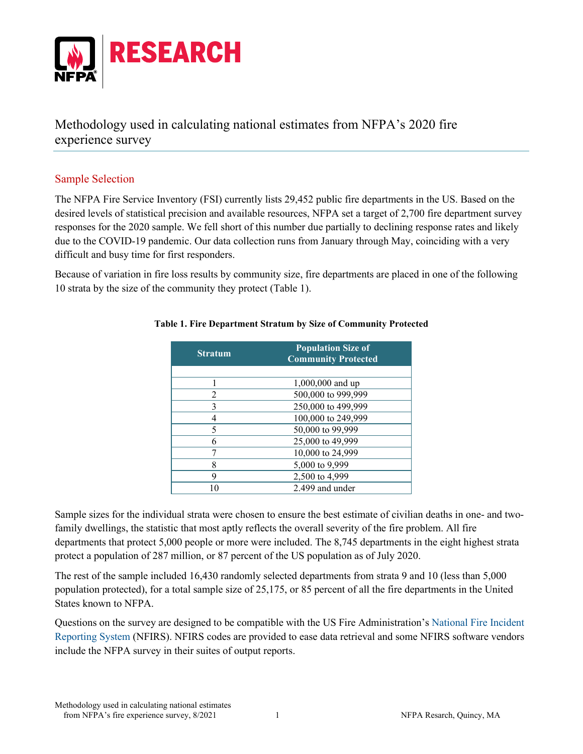

Methodology used in calculating national estimates from NFPA's 2020 fire experience survey

## Sample Selection

The NFPA Fire Service Inventory (FSI) currently lists 29,452 public fire departments in the US. Based on the desired levels of statistical precision and available resources, NFPA set a target of 2,700 fire department survey responses for the 2020 sample. We fell short of this number due partially to declining response rates and likely due to the COVID-19 pandemic. Our data collection runs from January through May, coinciding with a very difficult and busy time for first responders.

Because of variation in fire loss results by community size, fire departments are placed in one of the following 10 strata by the size of the community they protect (Table 1).

| <b>Stratum</b> | <b>Population Size of</b><br><b>Community Protected</b> |  |  |  |
|----------------|---------------------------------------------------------|--|--|--|
|                |                                                         |  |  |  |
|                | 1,000,000 and up                                        |  |  |  |
| 2              | 500,000 to 999,999                                      |  |  |  |
| 3              | 250,000 to 499,999                                      |  |  |  |
|                | 100,000 to 249,999                                      |  |  |  |
| 5              | 50,000 to 99,999                                        |  |  |  |
| 6              | 25,000 to 49,999                                        |  |  |  |
|                | 10,000 to 24,999                                        |  |  |  |
| 8              | 5,000 to 9,999                                          |  |  |  |
| 9              | 2,500 to 4,999                                          |  |  |  |
|                | 2.499 and under                                         |  |  |  |

#### **Table 1. Fire Department Stratum by Size of Community Protected**

Sample sizes for the individual strata were chosen to ensure the best estimate of civilian deaths in one- and twofamily dwellings, the statistic that most aptly reflects the overall severity of the fire problem. All fire departments that protect 5,000 people or more were included. The 8,745 departments in the eight highest strata protect a population of 287 million, or 87 percent of the US population as of July 2020.

The rest of the sample included 16,430 randomly selected departments from strata 9 and 10 (less than 5,000 population protected), for a total sample size of 25,175, or 85 percent of all the fire departments in the United States known to NFPA.

Questions on the survey are designed to be compatible with the US Fire Administration's [National Fire Incident](https://www.usfa.fema.gov/nfirs/)  [Reporting System](https://www.usfa.fema.gov/nfirs/) (NFIRS). NFIRS codes are provided to ease data retrieval and some NFIRS software vendors include the NFPA survey in their suites of output reports.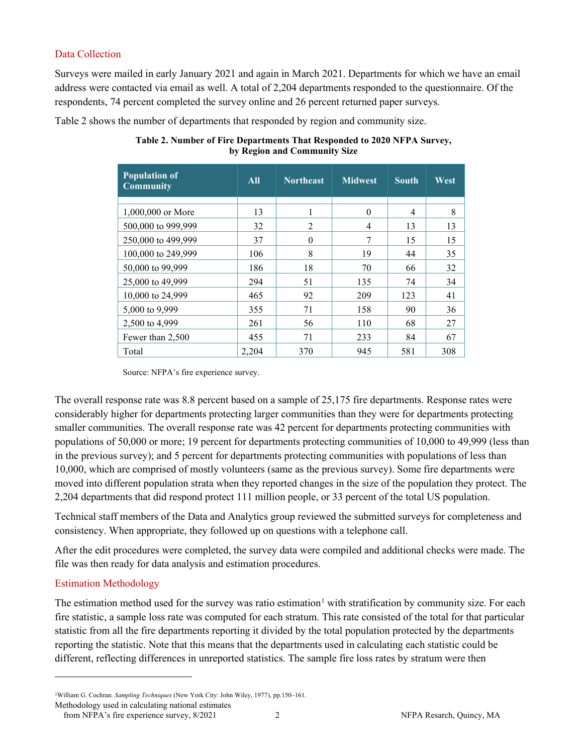## Data Collection

Surveys were mailed in early January 2021 and again in March 2021. Departments for which we have an email address were contacted via email as well. A total of 2,204 departments responded to the questionnaire. Of the respondents, 74 percent completed the survey online and 26 percent returned paper surveys.

Table 2 shows the number of departments that responded by region and community size.

| <b>Population of</b><br><b>Community</b> | $\overline{All}$ | <b>Northeast</b> | <b>Midwest</b> | <b>South</b> | West |
|------------------------------------------|------------------|------------------|----------------|--------------|------|
|                                          |                  |                  |                |              |      |
| 1,000,000 or More                        | 13               |                  | $\Omega$       | 4            | 8    |
| 500,000 to 999,999                       | 32               | $\mathfrak{D}$   | $\overline{4}$ | 13           | 13   |
| 250,000 to 499,999                       | 37               | $\Omega$         | 7              | 15           | 15   |
| 100,000 to 249,999                       | 106              | 8                | 19             | 44           | 35   |
| 50,000 to 99,999                         | 186              | 18               | 70             | 66           | 32   |
| 25,000 to 49,999                         | 294              | 51               | 135            | 74           | 34   |
| 10,000 to 24,999                         | 465              | 92               | 209            | 123          | 41   |
| 5,000 to 9,999                           | 355              | 71               | 158            | 90           | 36   |
| 2,500 to 4,999                           | 261              | 56               | 110            | 68           | 27   |
| Fewer than 2,500                         | 455              | 71               | 233            | 84           | 67   |
| Total                                    | 2,204            | 370              | 945            | 581          | 308  |

**Table 2. Number of Fire Departments That Responded to 2020 NFPA Survey, by Region and Community Size**

Source: NFPA's fire experience survey.

The overall response rate was 8.8 percent based on a sample of 25,175 fire departments. Response rates were considerably higher for departments protecting larger communities than they were for departments protecting smaller communities. The overall response rate was 42 percent for departments protecting communities with populations of 50,000 or more; 19 percent for departments protecting communities of 10,000 to 49,999 (less than in the previous survey); and 5 percent for departments protecting communities with populations of less than 10,000, which are comprised of mostly volunteers (same as the previous survey). Some fire departments were moved into different population strata when they reported changes in the size of the population they protect. The 2,204 departments that did respond protect 111 million people, or 33 percent of the total US population.

Technical staff members of the Data and Analytics group reviewed the submitted surveys for completeness and consistency. When appropriate, they followed up on questions with a telephone call.

After the edit procedures were completed, the survey data were compiled and additional checks were made. The file was then ready for data analysis and estimation procedures.

# Estimation Methodology

The estimation method used for the survey was ratio estimation<sup>[1](#page-1-0)</sup> with stratification by community size. For each fire statistic, a sample loss rate was computed for each stratum. This rate consisted of the total for that particular statistic from all the fire departments reporting it divided by the total population protected by the departments reporting the statistic. Note that this means that the departments used in calculating each statistic could be different, reflecting differences in unreported statistics. The sample fire loss rates by stratum were then

<span id="page-1-0"></span><sup>1</sup>William G. Cochran. *Sampling Techniques* (New York City: John Wiley, 1977), pp.150–161.

Methodology used in calculating national estimates